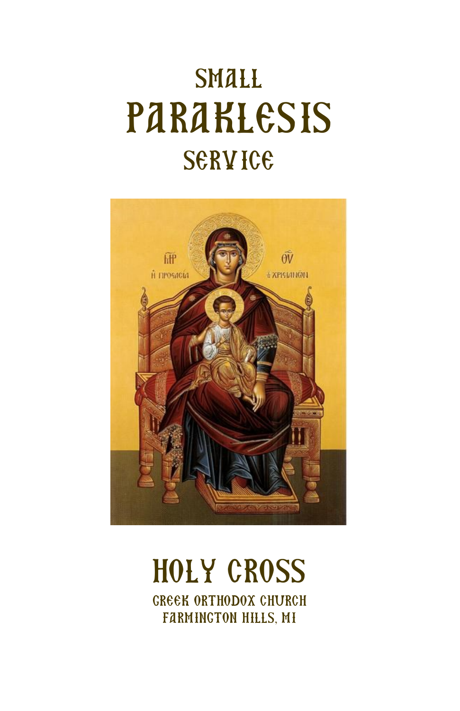# **SMALL** PARAKLESIS **SERVICE**



## HOLY CROSS GREEK ORTHODOX CHURCH FARMINGTON HILLS, MI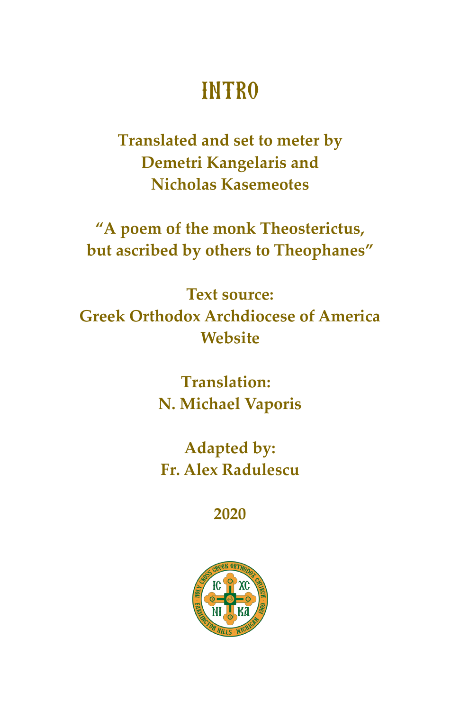# **INTRO**

Translated and set to meter by **Demetri Kangelaris and Nicholas Kasemeotes** 

"A poem of the monk Theosterictus, but ascribed by others to Theophanes"

**Text source: Greek Orthodox Archdiocese of America** Website

> **Translation:** N. Michael Vaporis

**Adapted by: Fr. Alex Radulescu** 

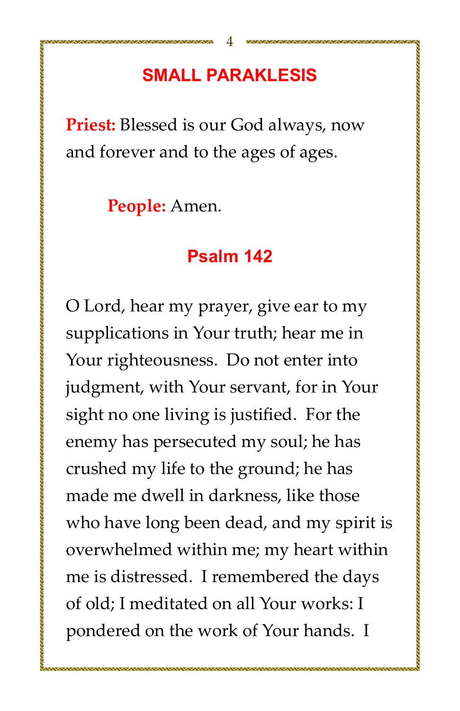## **SMALL PARAKLESIS**

**Priest:** Blessed is our God always, now and forever and to the ages of ages.

People: Amen.

#### Psalm 142

O Lord, hear my prayer, give ear to my supplications in Your truth; hear me in Your righteousness. Do not enter into judgment, with Your servant, for in Your sight no one living is justified. For the enemy has persecuted my soul; he has crushed my life to the ground; he has made me dwell in darkness, like those who have long been dead, and my spirit is overwhelmed within me; my heart within me is distressed. I remembered the days of old: I meditated on all Your works: I pondered on the work of Your hands. I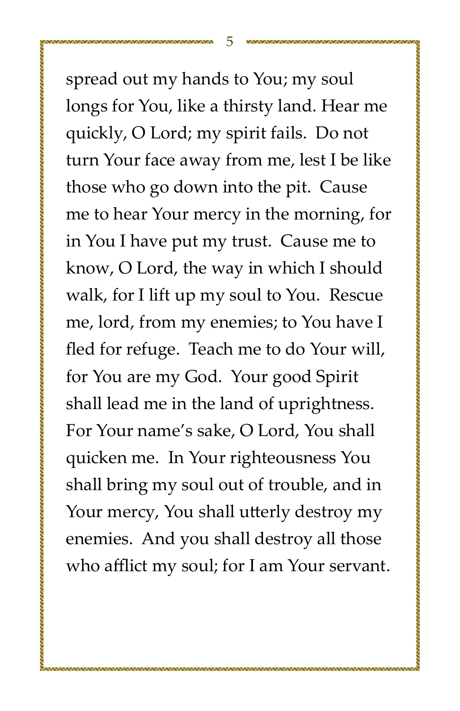spread out my hands to You; my soul longs for You, like a thirsty land. Hear me quickly, O Lord; my spirit fails. Do not turn Your face away from me, lest I be like those who go down into the pit. Cause me to hear Your mercy in the morning, for in You I have put my trust. Cause me to know, O Lord, the way in which I should walk, for I lift up my soul to You. Rescue me, lord, from my enemies; to You have I fled for refuge. Teach me to do Your will, for You are my God. Your good Spirit shall lead me in the land of uprightness. For Your name's sake, O Lord, You shall quicken me. In Your righteousness You shall bring my soul out of trouble, and in Your mercy, You shall utterly destroy my enemies. And you shall destroy all those who afflict my soul; for I am Your servant.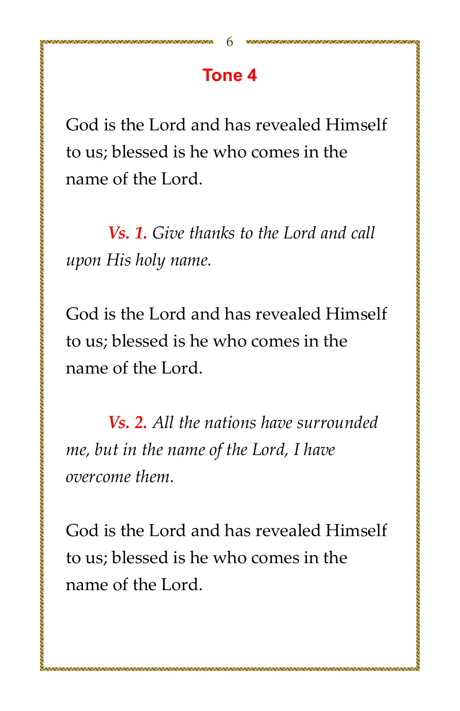## Tone<sub>4</sub>

God is the Lord and has revealed Himself to us; blessed is he who comes in the name of the Lord.

Vs. 1. Give thanks to the Lord and call upon His holy name.

God is the Lord and has revealed Himself to us; blessed is he who comes in the name of the Lord.

Vs. 2. All the nations have surrounded me, but in the name of the Lord, I have overcome them.

God is the Lord and has revealed Himself to us; blessed is he who comes in the name of the Lord.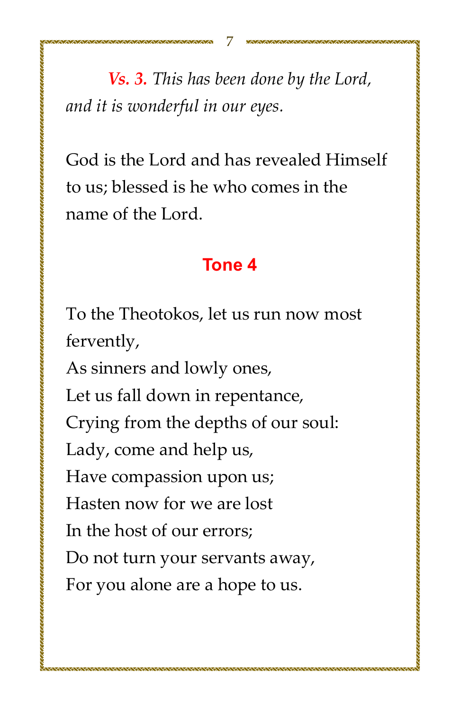Vs. 3. This has been done by the Lord, and it is wonderful in our eyes.

God is the Lord and has revealed Himself to us; blessed is he who comes in the name of the Lord.

#### **Tone 4**

To the Theotokos, let us run now most fervently,

As sinners and lowly ones, Let us fall down in repentance, Crying from the depths of our soul: Lady, come and help us, Have compassion upon us; Hasten now for we are lost In the host of our errors; Do not turn your servants away, For you alone are a hope to us.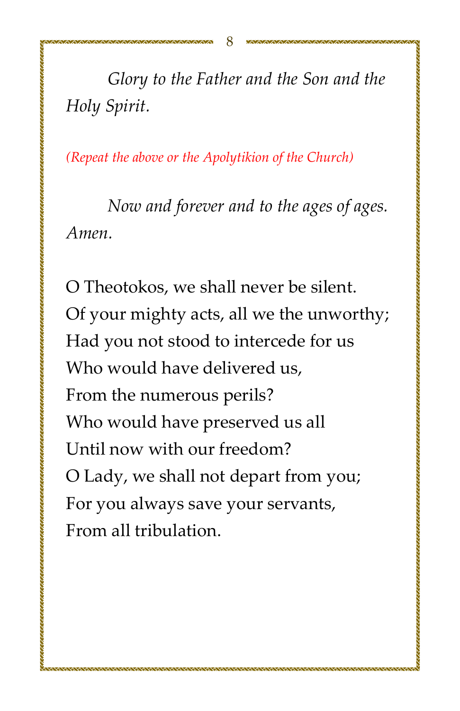Glory to the Father and the Son and the Holy Spirit.

(Repeat the above or the Apolytikion of the Church)

Now and forever and to the ages of ages. Amen.

O Theotokos, we shall never be silent. Of your mighty acts, all we the unworthy; Had you not stood to intercede for us Who would have delivered us. From the numerous perils? Who would have preserved us all Until now with our freedom? O Lady, we shall not depart from you; For you always save your servants, From all tribulation

**TANAN MENTENTAN KENTENTAN MENTENTAN MENTENTAN MENTENTAN MENTENTAN MENTENTAN MENTENTAN MENTENTAN MENTENTAN MENT**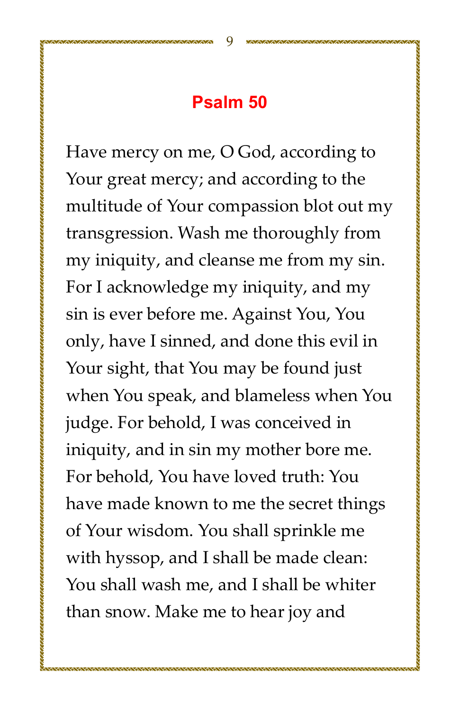#### Psalm 50

Have mercy on me, O God, according to Your great mercy; and according to the multitude of Your compassion blot out my transgression. Wash me thoroughly from my iniquity, and cleanse me from my sin. For I acknowledge my iniquity, and my sin is ever before me. Against You, You only, have I sinned, and done this evil in Your sight, that You may be found just when You speak, and blameless when You judge. For behold, I was conceived in iniquity, and in sin my mother bore me. For behold. You have loved truth: You have made known to me the secret things of Your wisdom. You shall sprinkle me with hyssop, and I shall be made clean: You shall wash me, and I shall be whiter than snow. Make me to hear joy and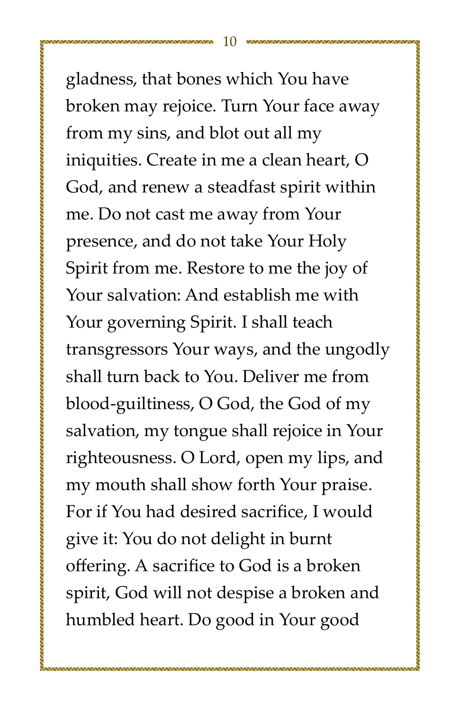gladness, that bones which You have broken may rejoice. Turn Your face away from my sins, and blot out all my iniquities. Create in me a clean heart, O God, and renew a steadfast spirit within me. Do not cast me away from Your presence, and do not take Your Holy Spirit from me. Restore to me the joy of Your salvation: And establish me with Your governing Spirit. I shall teach transgressors Your ways, and the ungodly shall turn back to You. Deliver me from blood-guiltiness, O God, the God of my salvation, my tongue shall rejoice in Your righteousness. O Lord, open my lips, and my mouth shall show forth Your praise. For if You had desired sacrifice, I would give it: You do not delight in burnt offering. A sacrifice to God is a broken spirit, God will not despise a broken and humbled heart. Do good in Your good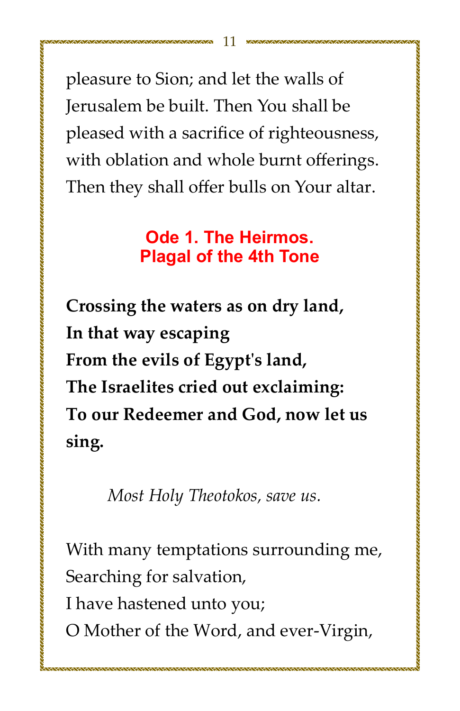pleasure to Sion; and let the walls of Jerusalem be built. Then You shall be pleased with a sacrifice of righteousness, with oblation and whole burnt offerings. Then they shall offer bulls on Your altar.

#### Ode 1. The Heirmos. **Plagal of the 4th Tone**

Crossing the waters as on dry land, In that way escaping From the evils of Egypt's land, The Israelites cried out exclaiming: To our Redeemer and God, now let us sing.

Most Holy Theotokos, save us.

With many temptations surrounding me, Searching for salvation,

I have hastened unto you;

O Mother of the Word, and ever-Virgin,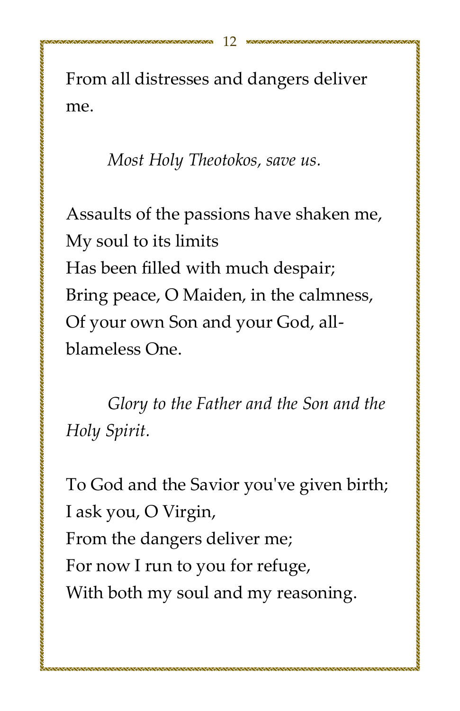From all distresses and dangers deliver me.

Most Holy Theotokos, save us.

Assaults of the passions have shaken me, My soul to its limits Has been filled with much despair; Bring peace, O Maiden, in the calmness, Of your own Son and your God, allblameless One.

Glory to the Father and the Son and the Holy Spirit.

To God and the Savior you've given birth; I ask you, O Virgin, From the dangers deliver me; For now I run to you for refuge, With both my soul and my reasoning.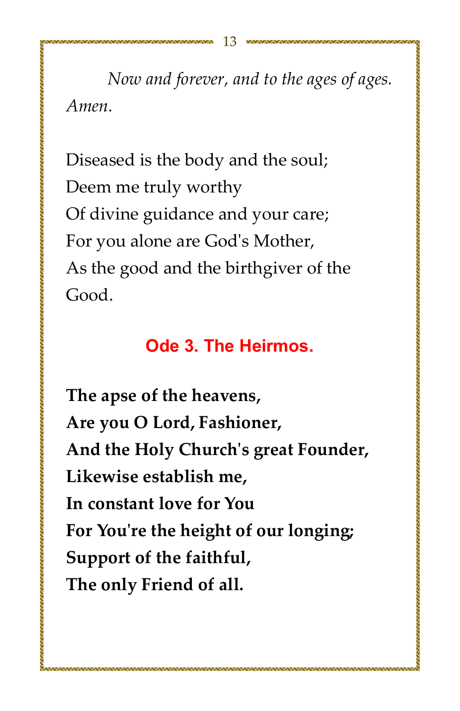*Now and forever, and to the ages of ages. Amenǯ*

Diseased is the body and the soul; Deem me truly worthy Of divine guidance and your care; For you alone are God's Mother, As the good and the birthgiver of the Good.

#### **Ode 3. The Heirmos.**

The apse of the heavens, Are you O Lord, Fashioner, And the Holy Church's great Founder, Likewise establish me. In constant love for You For You're the height of our longing; **Support of the faithful,** The only Friend of all.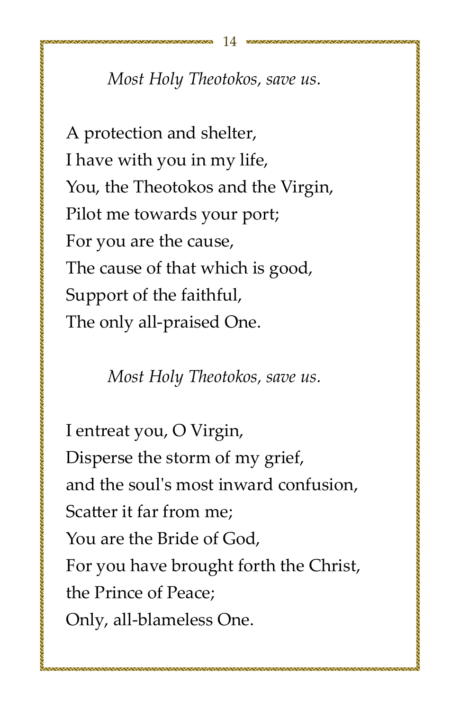## *Most Holy Theotokos, save us.*

A protection and shelter, I have with you in my life, You, the Theotokos and the Virgin, Pilot me towards your port; For you are the cause, The cause of that which is good, Support of the faithful, The only all-praised One.

*Most Holy Theotokos, save us.* 

I entreat you, O Virgin, Disperse the storm of my grief, and the soul's most inward confusion. Scatter it far from me; You are the Bride of God. For you have brought forth the Christ, the Prince of Peace: Only, all-blameless One.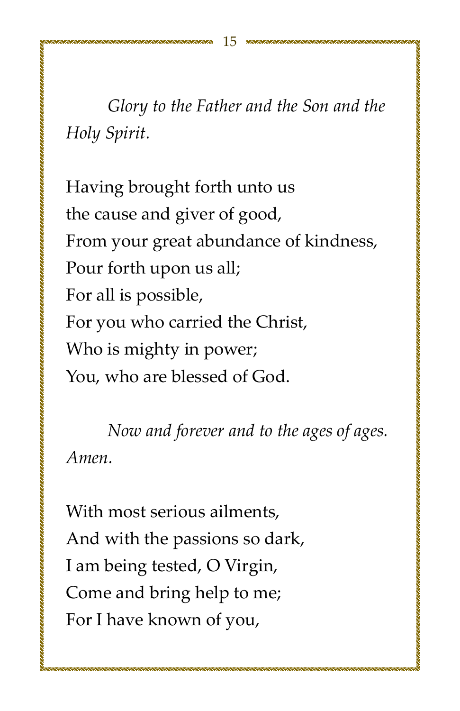*Glory* to the Father and the Son and the *Hol¢ȱSpiiǯ*

Having brought forth unto us the cause and giver of good, From your great abundance of kindness, Pour forth upon us all; For all is possible, For you who carried the Christ, Who is mighty in power; You, who are blessed of God.

*Now and forever and to the ages of ages. Amenǯ*

With most serious ailments, And with the passions so dark, I am being tested, O Virgin, Come and bring help to me; For I have known of you,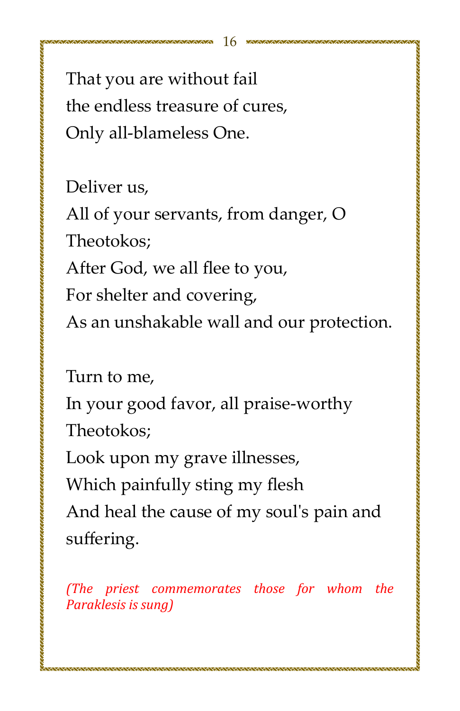That you are without fail the endless treasure of cures. Only all-blameless One.

Deliver us,

All of your servants, from danger, O Theotokos:

After God, we all flee to you,

For shelter and covering,

As an unshakable wall and our protection.

Turn to me,

In your good favor, all praise-worthy Theotokos:

Look upon my grave illnesses,

Which painfully sting my flesh

And heal the cause of my soul's pain and suffering.

*ȋThe priest commemorates those for whom the Paraklesis is sungȌ*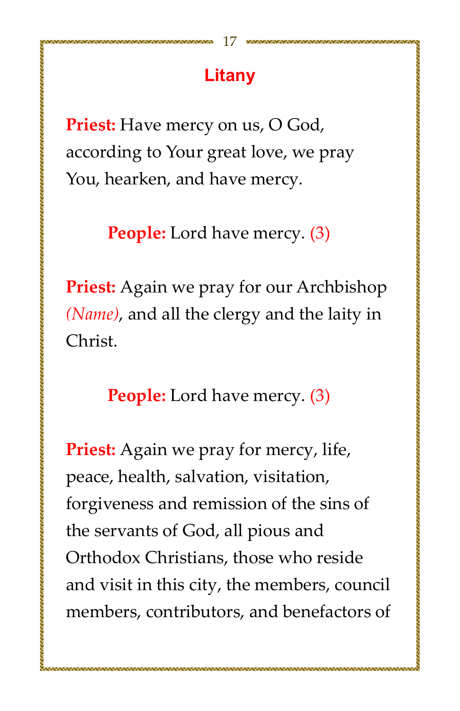## Litany

**Priest:** Have mercy on us, O God, according to Your great love, we pray You, hearken, and have mercy.

**People:** Lord have mercy. (3)

Priest: Again we pray for our Archbishop (Name), and all the clergy and the laity in Christ.

n an die deel aan die die waardie waardie waardie waardie waardie waardie waardie waardie waardie waardie waardi

**People:** Lord have mercy. (3)

**Priest:** Again we pray for mercy, life, peace, health, salvation, visitation, forgiveness and remission of the sins of the servants of God, all pious and Orthodox Christians, those who reside and visit in this city, the members, council members, contributors, and benefactors of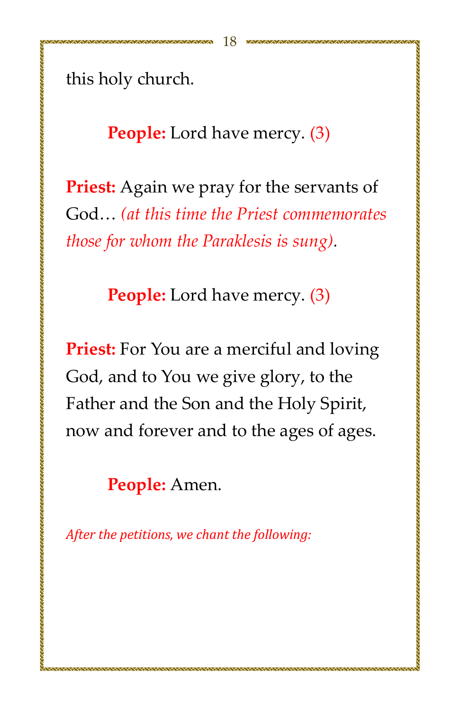this holy church.

**People:** Lord have mercy. (3)

**Priest:** Again we pray for the servants of God... (at this time the Priest commemorates *hose for whom the Paraklesis is sung.* 

**People:** Lord have mercy. (3)

**Priest:** For You are a merciful and loving God, and to You we give glory, to the Father and the Son and the Holy Spirit, now and forever and to the ages of ages.

1999年,1999年,1999年,1999年,1999年,1999年,1999年,1999年,1999年,1999年,1999年,1999年,1999年,1999年,1999年,1999年,199

**People:** Amen.

*After the petitions, we chant the following:*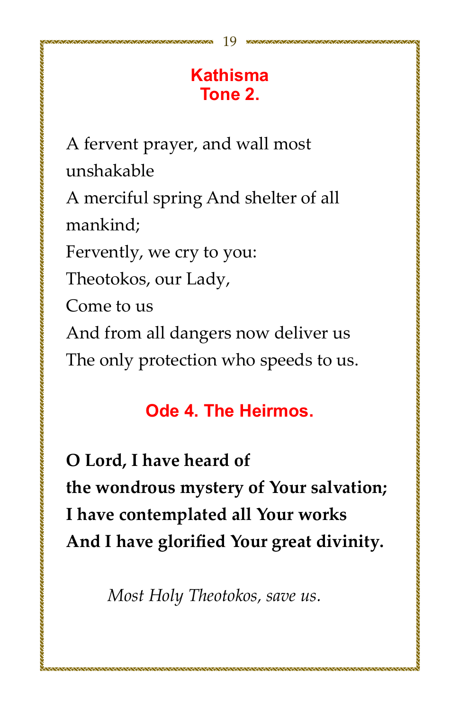## **Kathisma** Tone 2.

A fervent prayer, and wall most unshakable

A merciful spring And shelter of all mankind:

Fervently, we cry to you:

Theotokos, our Lady,

Come to us

And from all dangers now deliver us

The only protection who speeds to us.

## Ode 4. The Heirmos.

O Lord. I have heard of the wondrous mystery of Your salvation; I have contemplated all Your works And I have glorified Your great divinity.

Most Holy Theotokos, save us.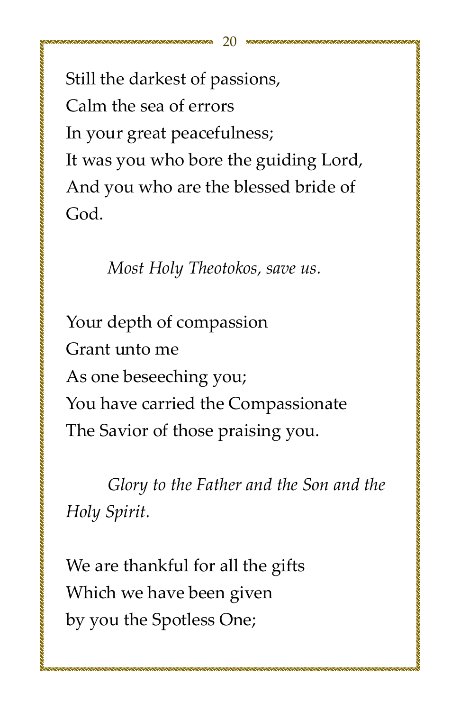Still the darkest of passions, Calm the sea of errors In your great peacefulness; It was you who bore the guiding Lord, And you who are the blessed bride of God.

*Most Holy Theotokos, save us.* 

Your depth of compassion Grant unto me As one beseeching you; You have carried the Compassionate The Savior of those praising you.

*Glory* to the Father and the Son and the *Holy Spirit.* 

We are thankful for all the gifts Which we have been given by you the Spotless One;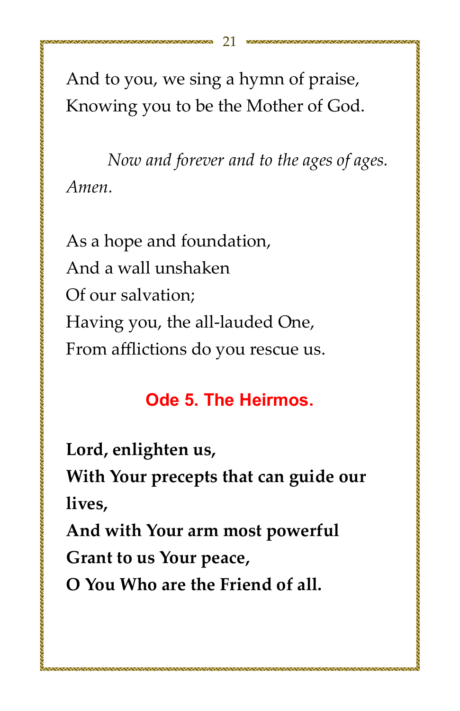And to you, we sing a hymn of praise, Knowing you to be the Mother of God.

Now and forever and to the ages of ages. Amen.

As a hope and foundation, And a wall unshaken Of our salvation: Having you, the all-lauded One, From afflictions do you rescue us.

## Ode 5. The Heirmos.

Lord, enlighten us,

With Your precepts that can guide our lives.

And with Your arm most powerful

Grant to us Your peace,

O You Who are the Friend of all.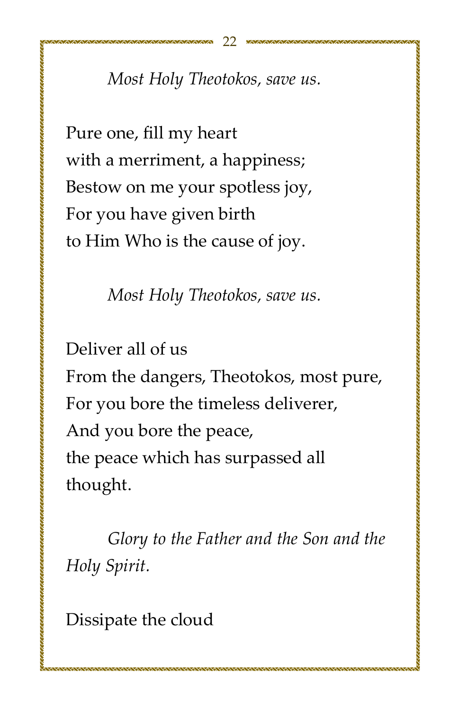*Most Holy Theotokos, save us.* 

Pure one, fill my heart with a merriment, a happiness; Bestow on me your spotless joy, For you have given birth to Him Who is the cause of joy.

*Most Holy Theotokos, save us.* 

Deliver all of us

From the dangers, Theotokos, most pure, For you bore the timeless deliverer, And you bore the peace, the peace which has surpassed all thought.

*Glory* to the Father and the Son and the *Hol¢ȱSpiiǯ*

Dissipate the cloud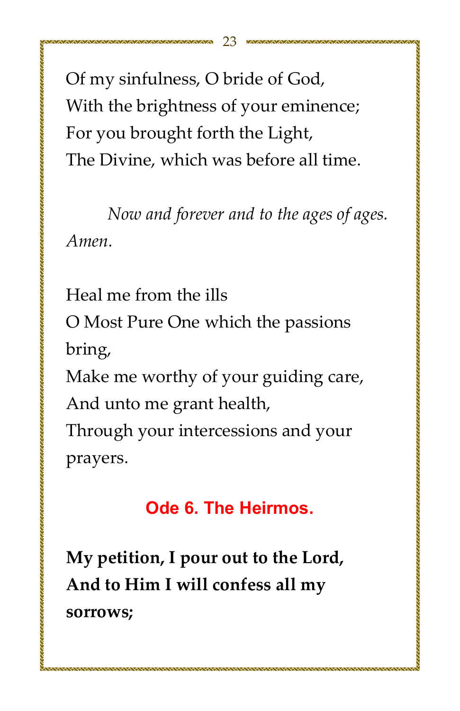Of my sinfulness, O bride of God, With the brightness of your eminence; For you brought forth the Light, The Divine, which was before all time.

Now and forever and to the ages of ages. Amen.

Heal me from the ills O Most Pure One which the passions bring, Make me worthy of your guiding care, And unto me grant health, Through your intercessions and your

,我们的人们的人们的人们的人们的人们的人们的人们的人们的人们的人们,我们也不能在这里的人们的人们的人们的人们的人们的人们的人们的人们的人们的人们的人们的人们的人们

prayers.

## Ode 6. The Heirmos.

My petition, I pour out to the Lord, And to Him I will confess all my sorrows;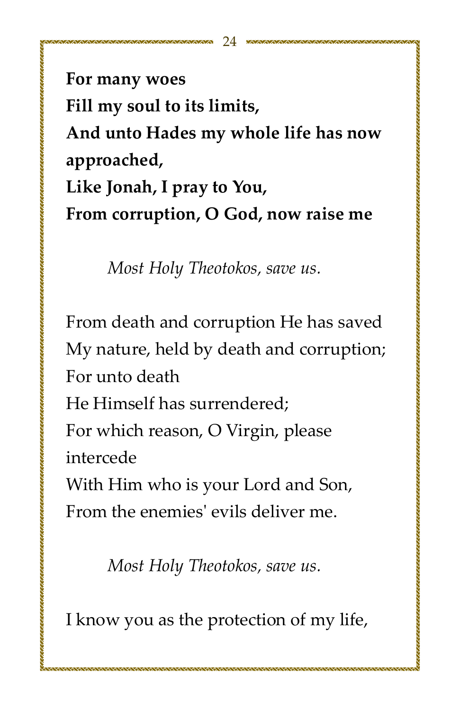For many woes Fill my soul to its limits, And unto Hades my whole life has now approached, Like Jonah, I pray to You, From corruption, O God, now raise me

Most Holy Theotokos, save us.

From death and corruption He has saved My nature, held by death and corruption; For unto death

He Himself has surrendered:

For which reason, O Virgin, please intercede

With Him who is your Lord and Son, From the enemies' evils deliver me.

Most Holy Theotokos, save us.

I know you as the protection of my life,

,,,,,,,,,,,,,,,,,,,,,,,,,,,,,,,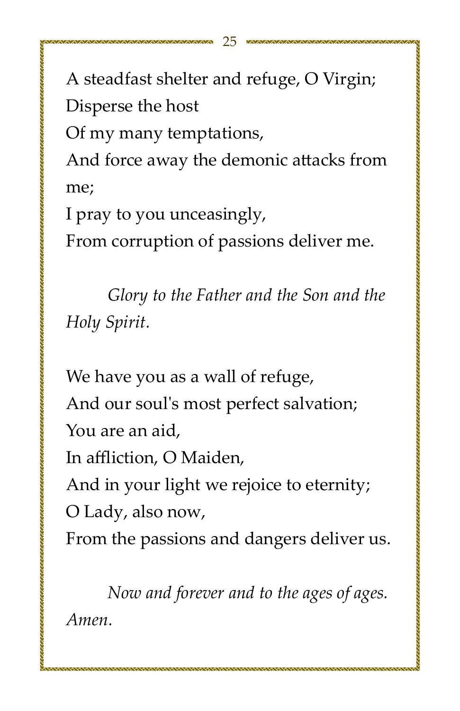A steadfast shelter and refuge, O Virgin; Disperse the host

Of my many temptations,

And force away the demonic attacks from me;

I pray to you unceasingly,

From corruption of passions deliver me.

Glory to the Father and the Son and the Holy Spirit.

We have you as a wall of refuge, And our soul's most perfect salvation; You are an aid, In affliction, O Maiden, And in your light we rejoice to eternity; O Lady, also now, From the passions and dangers deliver us.

Now and forever and to the ages of ages. Amen.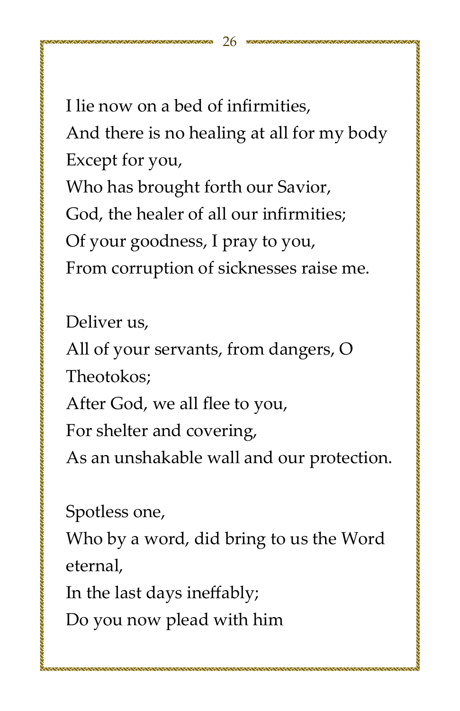I lie now on a bed of infirmities. And there is no healing at all for my body Except for you, Who has brought forth our Savior, God, the healer of all our infirmities: Of your goodness, I pray to you,

From corruption of sicknesses raise me.

Deliver us,

All of your servants, from dangers, O Theotokos:

After God, we all flee to you,

For shelter and covering,

As an unshakable wall and our protection.

Spotless one,

Who by a word, did bring to us the Word eternal.

In the last days ineffably;

Do you now plead with him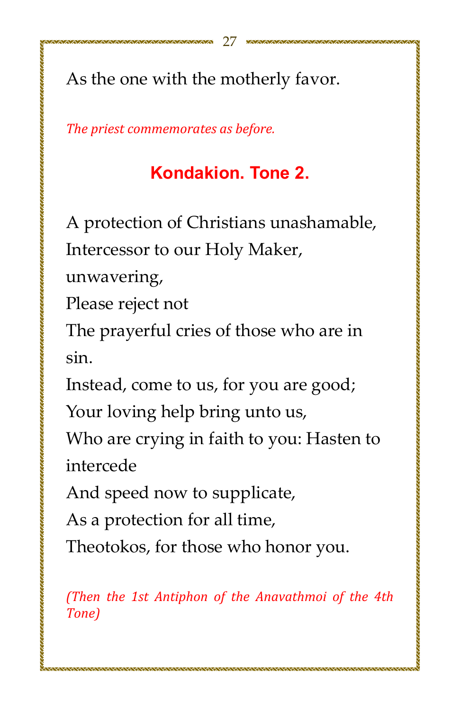As the one with the motherly favor.

The priest commemorates as before.

,,,,,,,,,,,,,,,,,,,,,,,,,,,,,,,,,

## Kondakion. Tone 2.

A protection of Christians unashamable,

Intercessor to our Holy Maker,

unwavering,

Please reject not

The prayerful cries of those who are in sin.

Instead, come to us, for you are good;

Your loving help bring unto us,

Who are crying in faith to you: Hasten to intercede

And speed now to supplicate,

As a protection for all time,

Theotokos, for those who honor you.

(Then the 1st Antiphon of the Anavathmoi of the 4th Tone)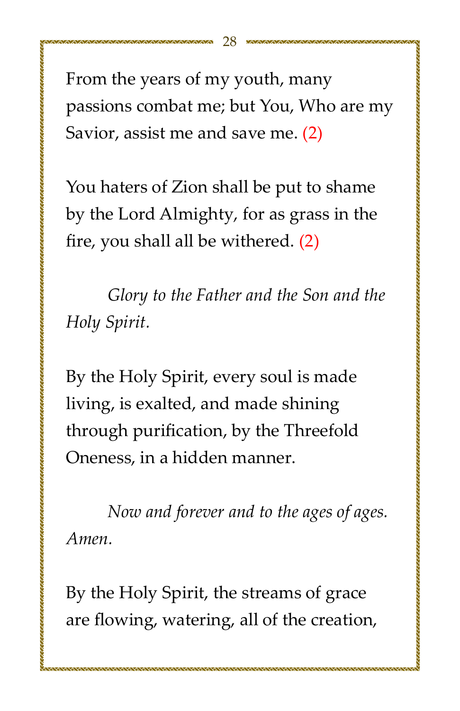From the years of my youth, many passions combat me; but You, Who are my Savior, assist me and save me. (2)

You haters of Zion shall be put to shame by the Lord Almighty, for as grass in the fire, you shall all be withered.  $(2)$ 

*Glory* to the Father and the Son and the *Hol¢ȱSpiiǯ*

By the Holy Spirit, every soul is made living, is exalted, and made shining through purification, by the Threefold Oneness, in a hidden manner.

*Now and forever and to the ages of ages. Amenǯ*

By the Holy Spirit, the streams of grace are flowing, watering, all of the creation,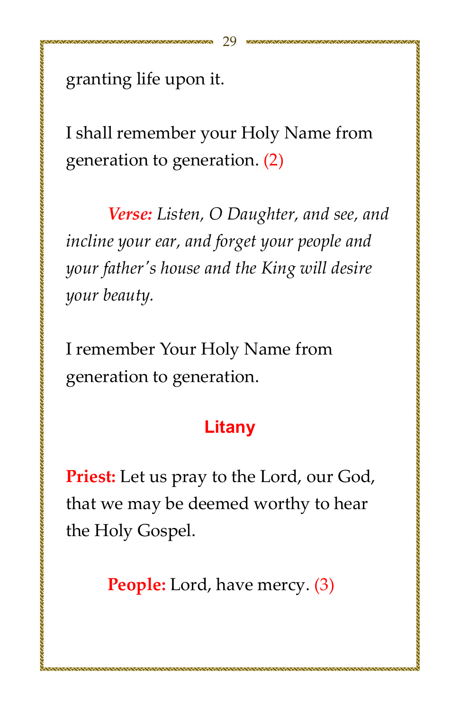granting life upon it.

I shall remember your Holy Name from generation to generation. (2)

Verse: Listen, O Daughter, and see, and incline your ear, and forget your people and your father's house and the King will desire your beauty.

I remember Your Holy Name from generation to generation.

#### Litany

**Priest:** Let us pray to the Lord, our God, that we may be deemed worthy to hear the Holy Gospel.

**People:** Lord, have mercy. (3)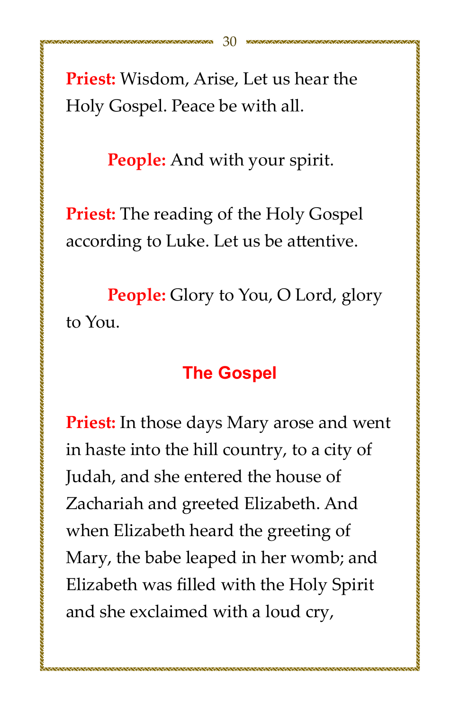Priest: Wisdom, Arise, Let us hear the Holy Gospel. Peace be with all.

**People:** And with your spirit.

**Priest:** The reading of the Holy Gospel according to Luke. Let us be attentive.

**People:** Glory to You, O Lord, glory to You.

#### **The Gospel**

**Priest:** In those days Mary arose and went in haste into the hill country, to a city of Judah, and she entered the house of Zachariah and greeted Elizabeth. And when Elizabeth heard the greeting of Mary, the babe leaped in her womb; and Elizabeth was filled with the Holy Spirit and she exclaimed with a loud cry,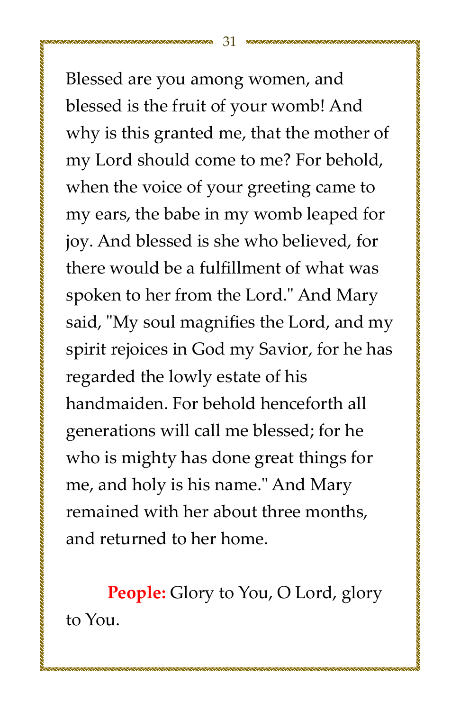Blessed are you among women, and blessed is the fruit of your womb! And why is this granted me, that the mother of my Lord should come to me? For behold, when the voice of your greeting came to my ears, the babe in my womb leaped for joy. And blessed is she who believed, for there would be a fulfillment of what was spoken to her from the Lord." And Mary said, "My soul magnifies the Lord, and my spirit rejoices in God my Savior, for he has regarded the lowly estate of his handmaiden. For behold henceforth all generations will call me blessed; for he who is mighty has done great things for me, and holy is his name." And Mary remained with her about three months. and returned to her home.

**People:** Glory to You, O Lord, glory to You.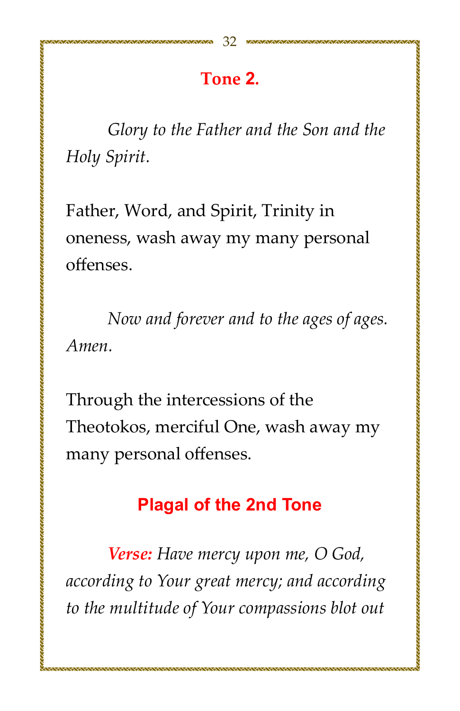#### Tone 2.

Glory to the Father and the Son and the Holy Spirit.

Father, Word, and Spirit, Trinity in oneness, wash away my many personal offenses.

Now and forever and to the ages of ages. Amen.

Through the intercessions of the Theotokos, merciful One, wash away my many personal offenses.

#### **Plagal of the 2nd Tone**

Verse: Have mercy upon me, O God, according to Your great mercy; and according to the multitude of Your compassions blot out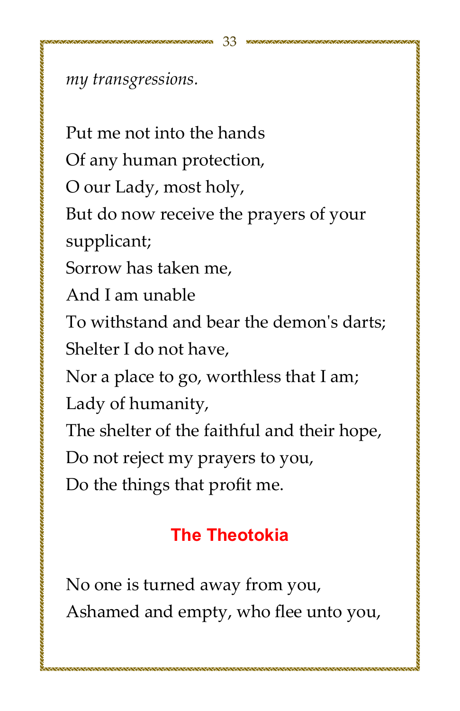my transgressions.

Put me not into the hands Of any human protection, O our Lady, most holy, But do now receive the prayers of your supplicant; Sorrow has taken me, And Lam unable To withstand and bear the demon's darts: Shelter I do not have. Nor a place to go, worthless that I am; Lady of humanity, The shelter of the faithful and their hope, Do not reject my prayers to you, Do the things that profit me.

n an die deel aan die deel waarden die waarden waarden waarden waarde waarde die die waarde waarde waarde waard

## **The Theotokia**

No one is turned away from you, Ashamed and empty, who flee unto you,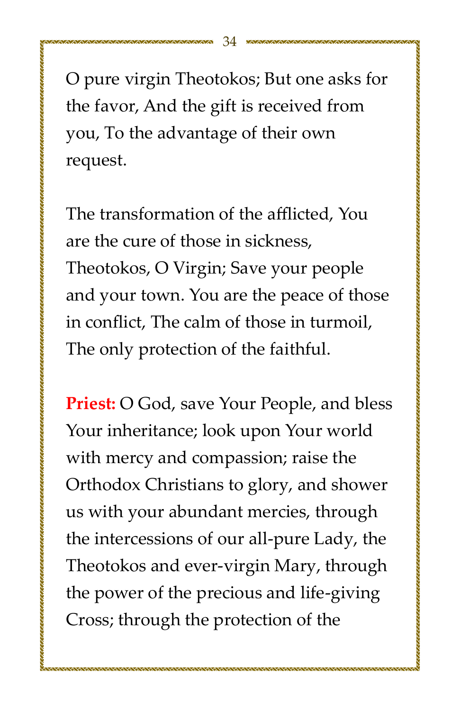O pure virgin Theotokos; But one asks for the favor, And the gift is received from you, To the advantage of their own request.

The transformation of the afflicted. You are the cure of those in sickness. Theotokos, O Virgin; Save your people and your town. You are the peace of those in conflict. The calm of those in turmoil. The only protection of the faithful.

**Priest:** O God, save Your People, and bless Your inheritance; look upon Your world with mercy and compassion; raise the Orthodox Christians to glory, and shower us with your abundant mercies, through the intercessions of our all-pure Lady, the Theotokos and ever-virgin Mary, through the power of the precious and life-giving Cross; through the protection of the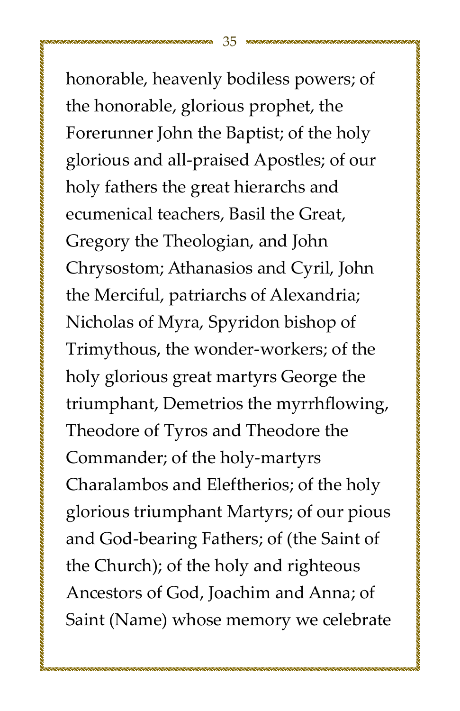honorable, heavenly bodiless powers; of the honorable, glorious prophet, the Forerunner John the Baptist; of the holy glorious and all-praised Apostles; of our holy fathers the great hierarchs and ecumenical teachers, Basil the Great, Gregory the Theologian, and John Chrysostom; Athanasios and Cyril, John the Merciful, patriarchs of Alexandria; Nicholas of Myra, Spyridon bishop of Trimythous, the wonder-workers; of the holy glorious great martyrs George the triumphant, Demetrios the myrrhflowing, Theodore of Tyros and Theodore the Commander; of the holy-martyrs Charalambos and Eleftherios; of the holy glorious triumphant Martyrs; of our pious and God-bearing Fathers; of (the Saint of the Church); of the holy and righteous Ancestors of God, Joachim and Anna; of Saint (Name) whose memory we celebrate

的复数化的最大的最大的,我们也会在这个人的人的人的人的人,我们也会在这个人的时候,我们也会在这个人的人的人的人的人,我们也会在这个人的人的人的人的人,我们也会不能 医心包的 医心包的 医心包的 医心包的 医心包的 医心包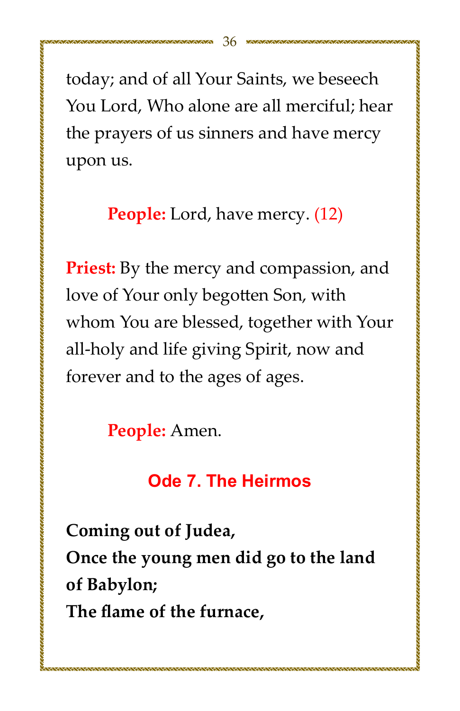today; and of all Your Saints, we beseech You Lord, Who alone are all merciful; hear the prayers of us sinners and have mercy upon us.

**People:** Lord, have mercy. (12)

**Priest:** By the mercy and compassion, and love of Your only begotten Son, with whom You are blessed, together with Your all-holy and life giving Spirit, now and forever and to the ages of ages.

People: Amen.

**Ode 7. The Heirmos** 

Coming out of Judea, Once the young men did go to the land of Babylon; The flame of the furnace,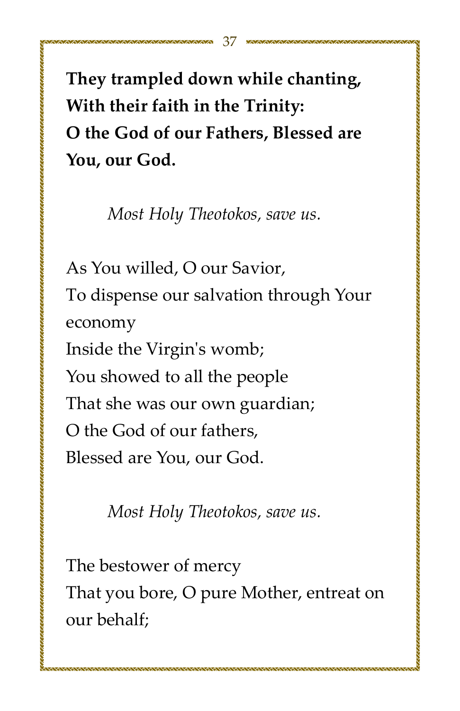They trampled down while chanting, With their faith in the Trinity: O the God of our Fathers, Blessed are You, our God.

Most Holy Theotokos, save us.

As You willed, O our Savior, To dispense our salvation through Your economy Inside the Virgin's womb; You showed to all the people That she was our own guardian; O the God of our fathers. Blessed are You, our God.

Most Holy Theotokos, save us.

The bestower of mercy That you bore, O pure Mother, entreat on our behalf;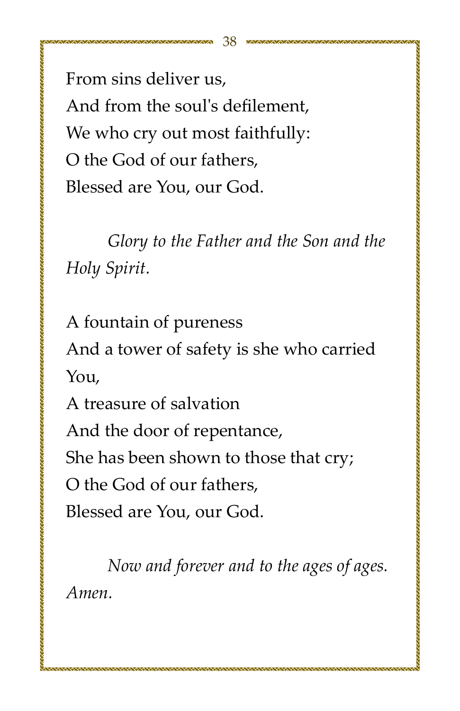From sins deliver us. And from the soul's defilement. We who cry out most faithfully: O the God of our fathers. Blessed are You, our God.

*Glory to the Father and the Son and the Hol¢ȱSpiiǯ*

A fountain of pureness And a tower of safety is she who carried You, A treasure of salvation And the door of repentance, She has been shown to those that cry;

O the God of our fathers,

Blessed are You, our God.

*Now and forever and to the ages of ages. Amenǯ*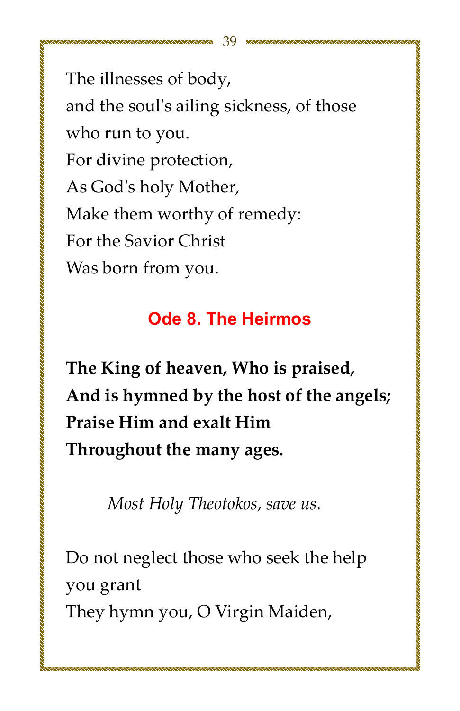The illnesses of body, and the soul's ailing sickness, of those who run to you. For divine protection, As God's holy Mother, Make them worthy of remedy: For the Savior Christ Was born from you.

## **Ode 8. The Heirmos**

的复数化的过去时的过去式和过去时的过去式和过去分词使用的过去分词使用的过去分词使用的过去分词使用的过去分词使用的过去分词使用的过去分词使用的过去分词使用的过去分词使用的过去分词使用的过去分词使用的过去分词使用的过去分词使用

The King of heaven, Who is praised, And is hymned by the host of the angels; Praise Him and exalt Him Throughout the many ages.

Most Holy Theotokos, save us.

Do not neglect those who seek the help you grant They hymn you, O Virgin Maiden,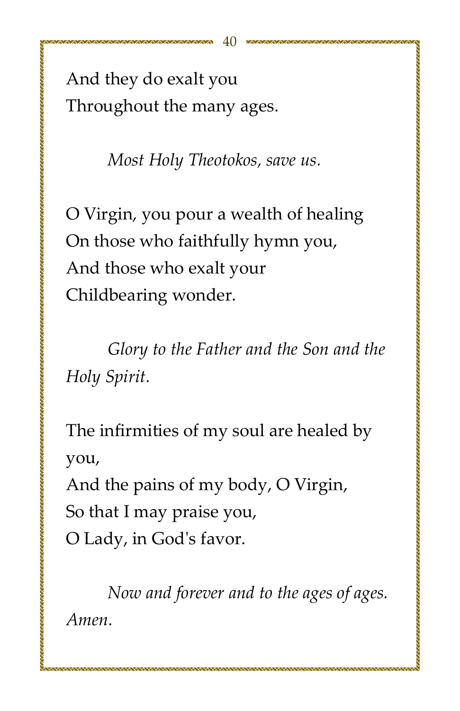And they do exalt you Throughout the many ages.

*Most Holy Theotokos, save us.* 

O Virgin, you pour a wealth of healing On those who faithfully hymn you, And those who exalt your Childbearing wonder.

*Glory* to the Father and the Son and the *Hol¢ȱSpiiǯ*

The infirmities of my soul are healed by you,

And the pains of my body, O Virgin,

So that I may praise you,

O Lady, in God's favor.

*Now and forever and to the ages of ages. Amenǯ*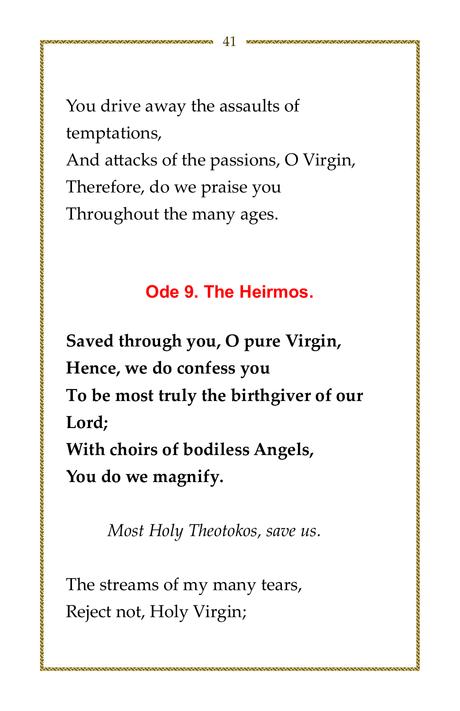You drive away the assaults of temptations, And attacks of the passions, O Virgin, Therefore, do we praise you Throughout the many ages.

#### Ode 9. The Heirmos.

Saved through you, O pure Virgin, Hence, we do confess you To be most truly the birthgiver of our Lord: With choirs of bodiless Angels, You do we magnify.

Most Holy Theotokos, save us.

The streams of my many tears, Reject not, Holy Virgin;

,,,,,,,,,,,,,,,,,,,,,,,,,,,,,,,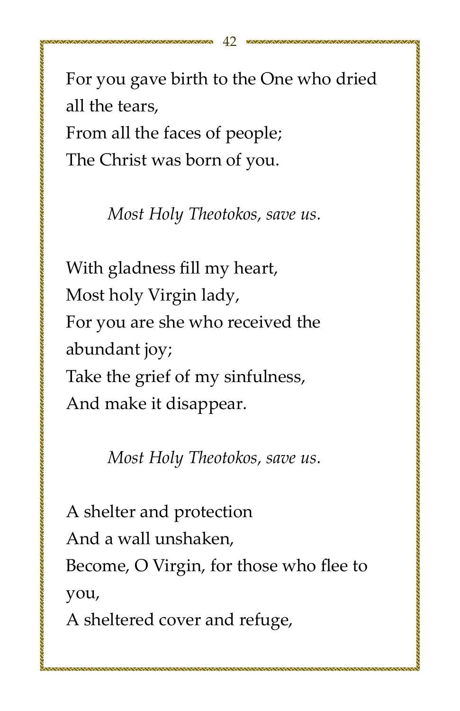For you gave birth to the One who dried all the tears, From all the faces of people; The Christ was born of you.

*Most Holy Theotokos, save us.* 

With gladness fill my heart, Most holy Virgin lady, For you are she who received the abundant joy; Take the grief of my sinfulness, And make it disappear.

*Most Holy Theotokos, save us.* 

A shelter and protection And a wall unshaken. Become, O Virgin, for those who flee to you,

A sheltered cover and refuge,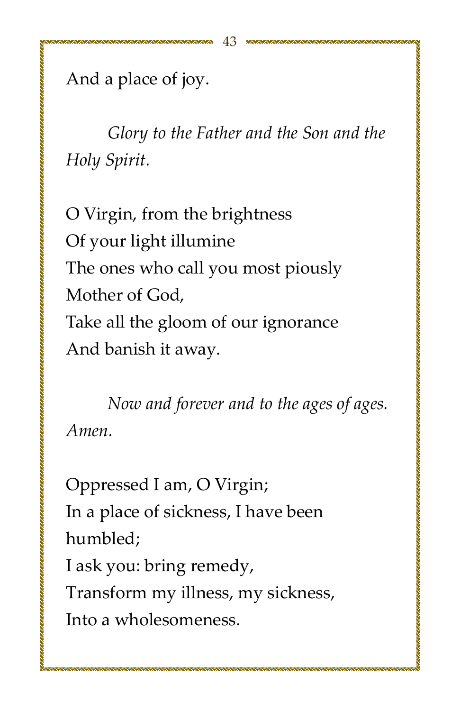And a place of joy.

*Glory* to the Father and the Son and the *Hol¢ȱSpiiǯ*

O Virgin, from the brightness Of your light illumine The ones who call you most piously Mother of God. Take all the gloom of our ignorance And banish it away.

*Now and forever and to the ages of ages. Amenǯ*

Oppressed I am, O Virgin; In a place of sickness, I have been humbled: I ask you: bring remedy, Transform my illness, my sickness, Into a wholesomeness.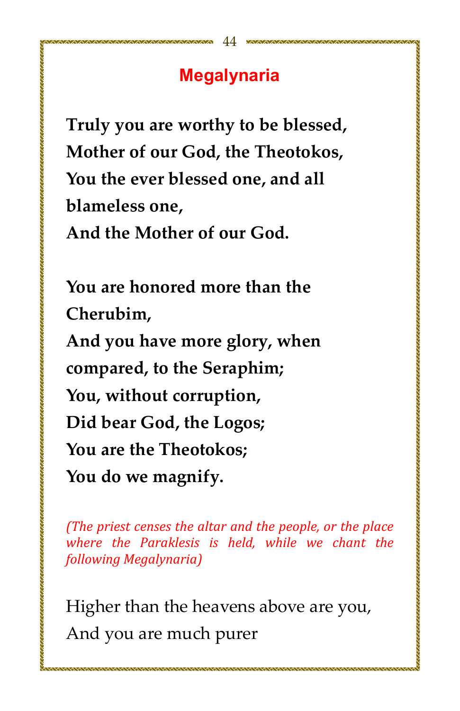## **Megalynaria**

Truly you are worthy to be blessed, Mother of our God, the Theotokos, You the ever blessed one, and all blameless one. And the Mother of our God.

You are honored more than the Cherubim. And you have more glory, when compared, to the Seraphim; You, without corruption, Did bear God, the Logos: You are the Theotokos: You do we magnify.

(The priest censes the altar and the people, or the place where the Paraklesis is held, while we chant the following Megalynaria)

Higher than the heavens above are you, And you are much purer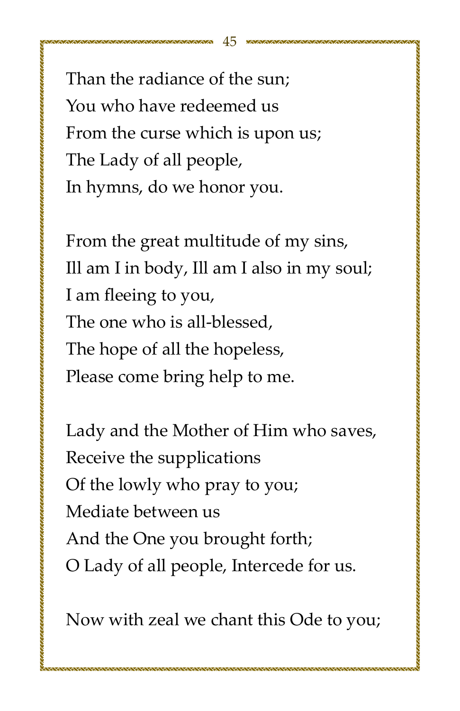Than the radiance of the sun: You who have redeemed us From the curse which is upon us. The Lady of all people, In hymns, do we honor you.

0000000000000000000000

From the great multitude of my sins, Ill am I in body, Ill am I also in my soul; I am fleeing to you, The one who is all-blessed. The hope of all the hopeless, Please come bring help to me.

的复数化的最大的最大的,我们也会在这个人的人的人的人的人,我们也会在这个人的时候,我们也会在这个人的人的人的人的人,我们也会在这个人的人的人的人的人,我们也会不能 医心包的 医心包的 医心包的 医心包的 医心包的 医心包

Lady and the Mother of Him who saves, Receive the supplications Of the lowly who pray to you; Mediate between us And the One you brought forth; O Lady of all people, Intercede for us.

Now with zeal we chant this Ode to you;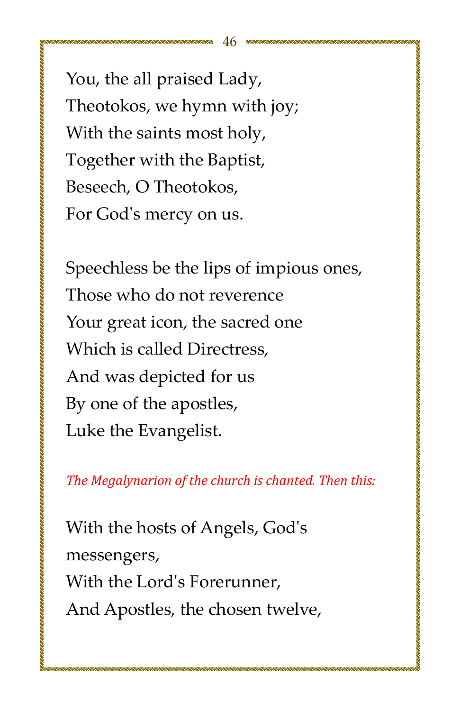You, the all praised Lady, Theotokos, we hymn with joy; With the saints most holy, Together with the Baptist, Beseech, O Theotokos, For God's mercy on us.

Speechless be the lips of impious ones. Those who do not reverence Your great icon, the sacred one Which is called Directress. And was depicted for us By one of the apostles, Luke the Evangelist.

的复数化的最大的最大的,我们也会在这个人的人的人的人的人,我们也会在这个人的时候,我们也会在这个人的人的人的人的人,我们也会在这个人的人的人的人的人,我们也会不能 医心包的 医心包的 医心包的 医心包的 医心包的 医心包

*The Megalynarion of the church is chanted. Then this:* 

With the hosts of Angels, God's messengers, With the Lord's Forerunner. And Apostles, the chosen twelve,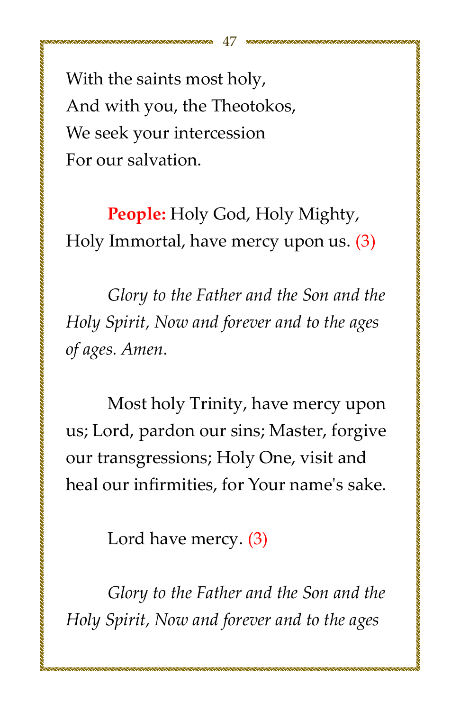With the saints most holy, And with you, the Theotokos, We seek your intercession For our salvation.

**People:** Holy God, Holy Mighty, Holy Immortal, have mercy upon us.  $(3)$ 

*Glory* to the Father and the Son and the *Holy Spirit, Now and forever and to the ages* of ages. Amen.

Most holy Trinity, have mercy upon us; Lord, pardon our sins; Master, forgive our transgressions; Holy One, visit and heal our infirmities, for Your name's sake.

Lord have mercy.  $(3)$ 

*Glory* to the Father and the Son and the *Holy Spirit, Now and forever and to the ages*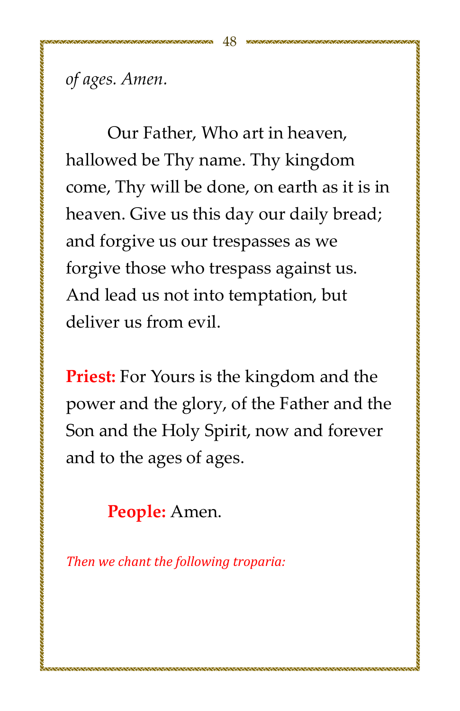of ages. Amen.

Our Father, Who art in heaven, hallowed be Thy name. Thy kingdom come, Thy will be done, on earth as it is in heaven. Give us this day our daily bread; and forgive us our trespasses as we forgive those who trespass against us. And lead us not into temptation, but deliver us from evil.

**Priest:** For Yours is the kingdom and the power and the glory, of the Father and the Son and the Holy Spirit, now and forever and to the ages of ages.

**People:** Amen.

Then we chant the following troparia: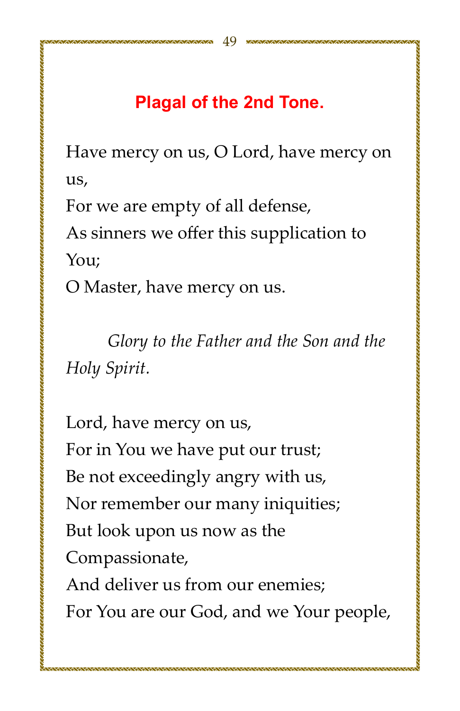## **Plagal of the 2nd Tone.**

Have mercy on us, O Lord, have mercy on us,

For we are empty of all defense,

As sinners we offer this supplication to You;

O Master, have mercy on us.

Glory to the Father and the Son and the Holy Spirit.

Lord, have mercy on us, For in You we have put our trust; Be not exceedingly angry with us, Nor remember our many iniquities; But look upon us now as the Compassionate, And deliver us from our enemies:

For You are our God, and we Your people,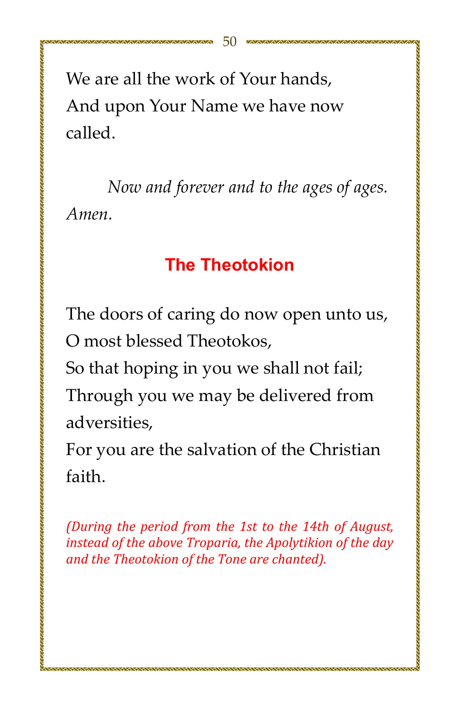We are all the work of Your hands. And upon Your Name we have now called.

Now and forever and to the ages of ages. Amen.

## **The Theotokion**

The doors of caring do now open unto us, O most blessed Theotokos,

So that hoping in you we shall not fail;

Through you we may be delivered from adversities.

For you are the salvation of the Christian faith.

(During the period from the 1st to the 14th of August, instead of the above Troparia, the Apolytikion of the day and the Theotokion of the Tone are chanted).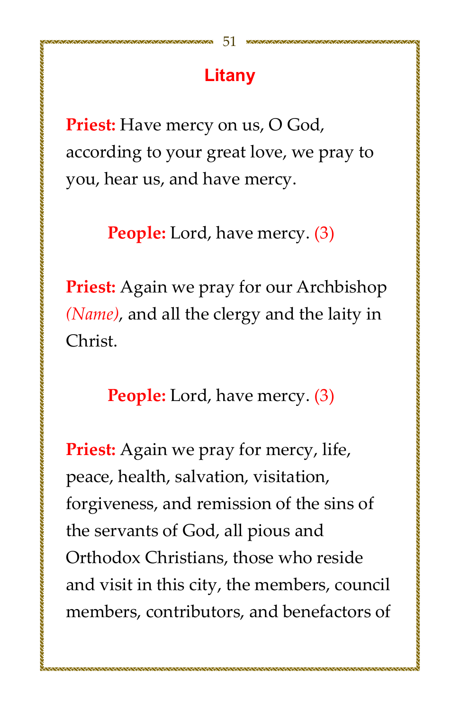**Priest:** Have mercy on us, O God, according to your great love, we pray to you, hear us, and have mercy.

**People:** Lord, have mercy. (3)

Priest: Again we pray for our Archbishop (Name), and all the clergy and the laity in Christ.

**People:** Lord, have mercy. (3)

**Priest:** Again we pray for mercy, life, peace, health, salvation, visitation, forgiveness, and remission of the sins of the servants of God, all pious and Orthodox Christians, those who reside and visit in this city, the members, council members, contributors, and benefactors of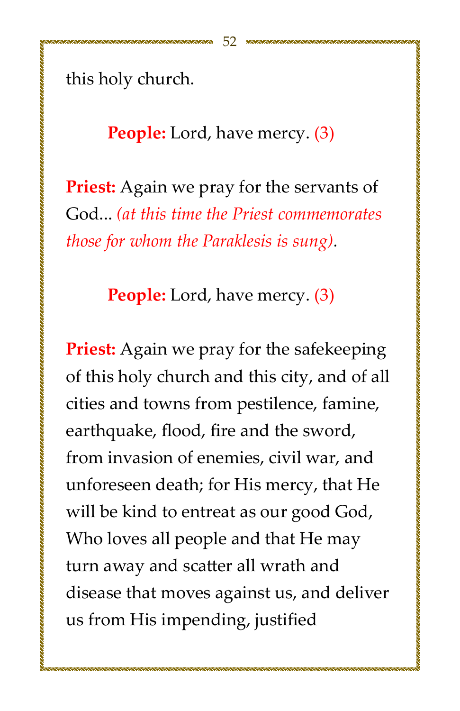this holy church.

#### **People:** Lord, have mercy. (3)

**Priest:** Again we pray for the servants of God... (at this time the Priest commemorates *hose for whom the Paraklesis is sung.* 

**People:** Lord, have mercy. (3)

**Priest:** Again we pray for the safekeeping of this holy church and this city, and of all cities and towns from pestilence, famine, earthquake, flood, fire and the sword, from invasion of enemies, civil war, and unforeseen death; for His mercy, that He will be kind to entreat as our good God, Who loves all people and that He may turn away and scatter all wrath and disease that moves against us, and deliver us from His impending, justified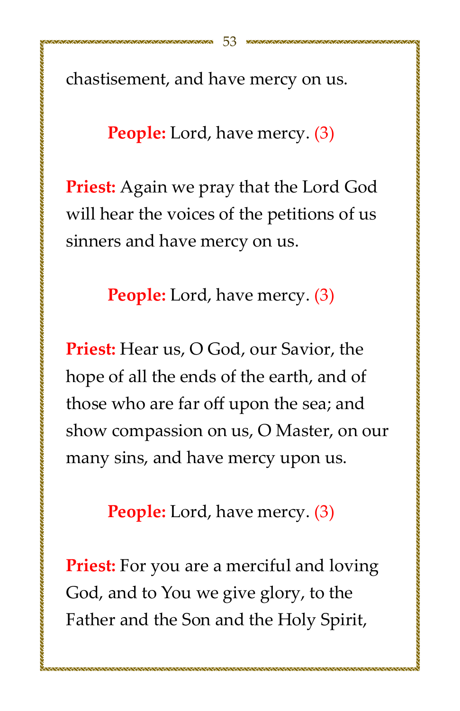chastisement, and have mercy on us.

#### **People:** Lord, have mercy. (3)

**Priest:** Again we pray that the Lord God will hear the voices of the petitions of us sinners and have mercy on us.

**People:** Lord, have mercy. (3)

**Priest:** Hear us, O God, our Savior, the hope of all the ends of the earth, and of those who are far off upon the sea; and show compassion on us, O Master, on our many sins, and have mercy upon us.

**People:** Lord, have mercy. (3)

**Priest:** For you are a merciful and loving God, and to You we give glory, to the Father and the Son and the Holy Spirit,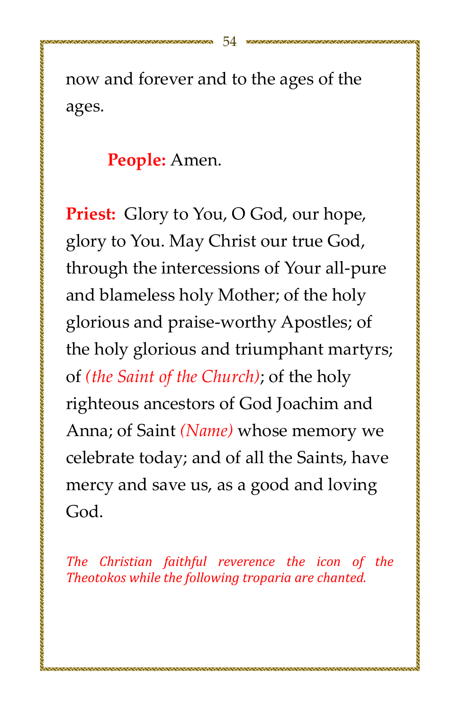now and forever and to the ages of the ages.

#### People: Amen.

**Priest:** Glory to You, O God, our hope, glory to You. May Christ our true God, through the intercessions of Your all-pure and blameless holy Mother; of the holy glorious and praise-worthy Apostles; of the holy glorious and triumphant martyrs; of (the Saint of the Church); of the holy righteous ancestors of God Joachim and Anna; of Saint (Name) whose memory we celebrate today; and of all the Saints, have mercy and save us, as a good and loving God.

The Christian faithful reverence the icon of the Theotokos while the following troparia are chanted.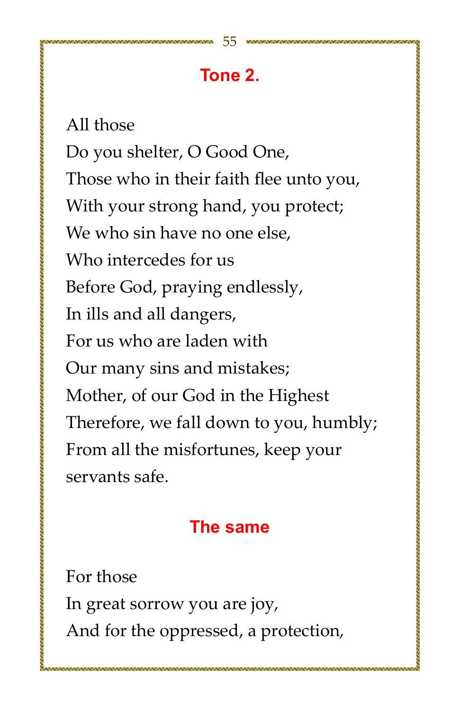## Tone 2.

All those Do you shelter, O Good One, Those who in their faith flee unto you, With your strong hand, you protect; We who sin have no one else. Who intercedes for us Before God, praying endlessly, In ills and all dangers, For us who are laden with Our many sins and mistakes; Mother, of our God in the Highest Therefore, we fall down to you, humbly; From all the misfortunes, keep your servants safe.

## The same

For those In great sorrow you are joy, And for the oppressed, a protection,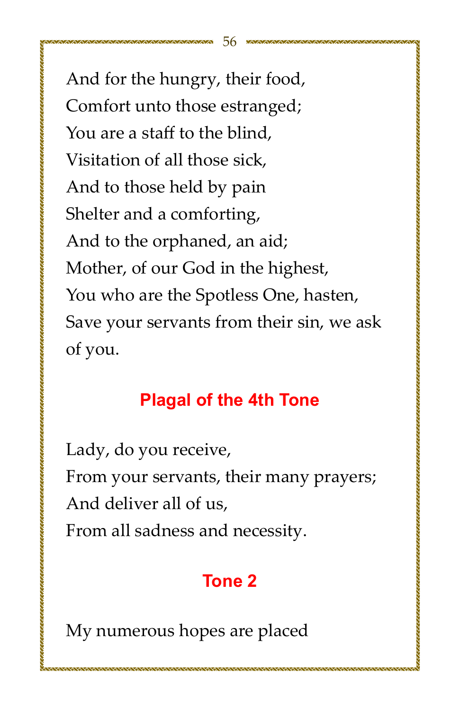And for the hungry, their food, Comfort unto those estranged; You are a staff to the blind. Visitation of all those sick. And to those held by pain Shelter and a comforting, And to the orphaned, an aid; Mother, of our God in the highest, You who are the Spotless One, hasten, Save your servants from their sin, we ask of you.

## **Plagal of the 4th Tone**

Lady, do you receive, From your servants, their many prayers; And deliver all of us. From all sadness and necessity.

## **Tone 2**

My numerous hopes are placed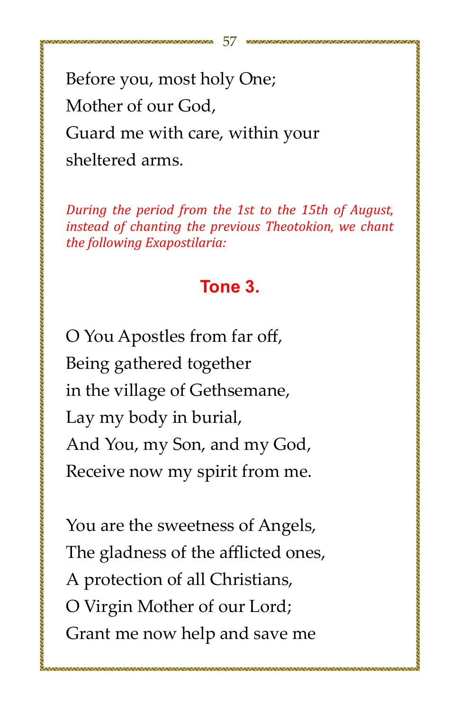Before you, most holy One; Mother of our God. Guard me with care, within your sheltered arms.

During the period from the 1st to the 15th of August, instead of chanting the previous Theotokion, we chant the following Exapostilaria:

#### Tone 3.

O You Apostles from far off, Being gathered together in the village of Gethsemane, Lay my body in burial, And You, my Son, and my God, Receive now my spirit from me.

You are the sweetness of Angels, The gladness of the afflicted ones, A protection of all Christians, O Virgin Mother of our Lord; Grant me now help and save me